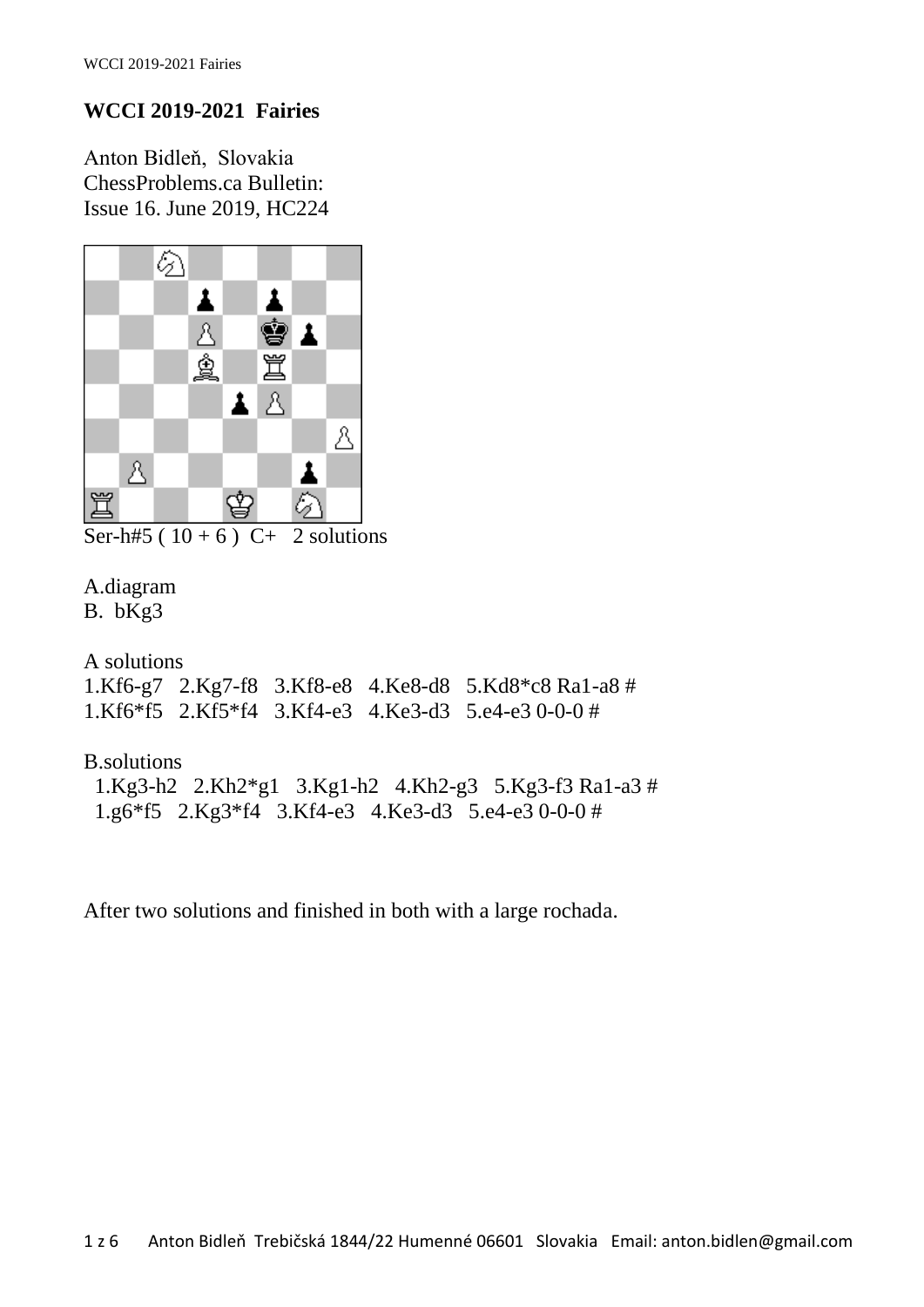## **WCCI 2019-2021 Fairies**

Anton Bidleň, Slovakia ChessProblems.ca Bulletin: Issue 16. June 2019, HC224



Ser-h#5 ( $10 + 6$ ) C+ 2 solutions

## A.diagram

B. bKg3

A solutions 1.Kf6-g7 2.Kg7-f8 3.Kf8-e8 4.Ke8-d8 5.Kd8\*c8 Ra1-a8 # 1.Kf6\*f5 2.Kf5\*f4 3.Kf4-e3 4.Ke3-d3 5.e4-e3 0-0-0 #

## B.solutions 1.Kg3-h2 2.Kh2\*g1 3.Kg1-h2 4.Kh2-g3 5.Kg3-f3 Ra1-a3 # 1.g6\*f5 2.Kg3\*f4 3.Kf4-e3 4.Ke3-d3 5.e4-e3 0-0-0 #

After two solutions and finished in both with a large rochada.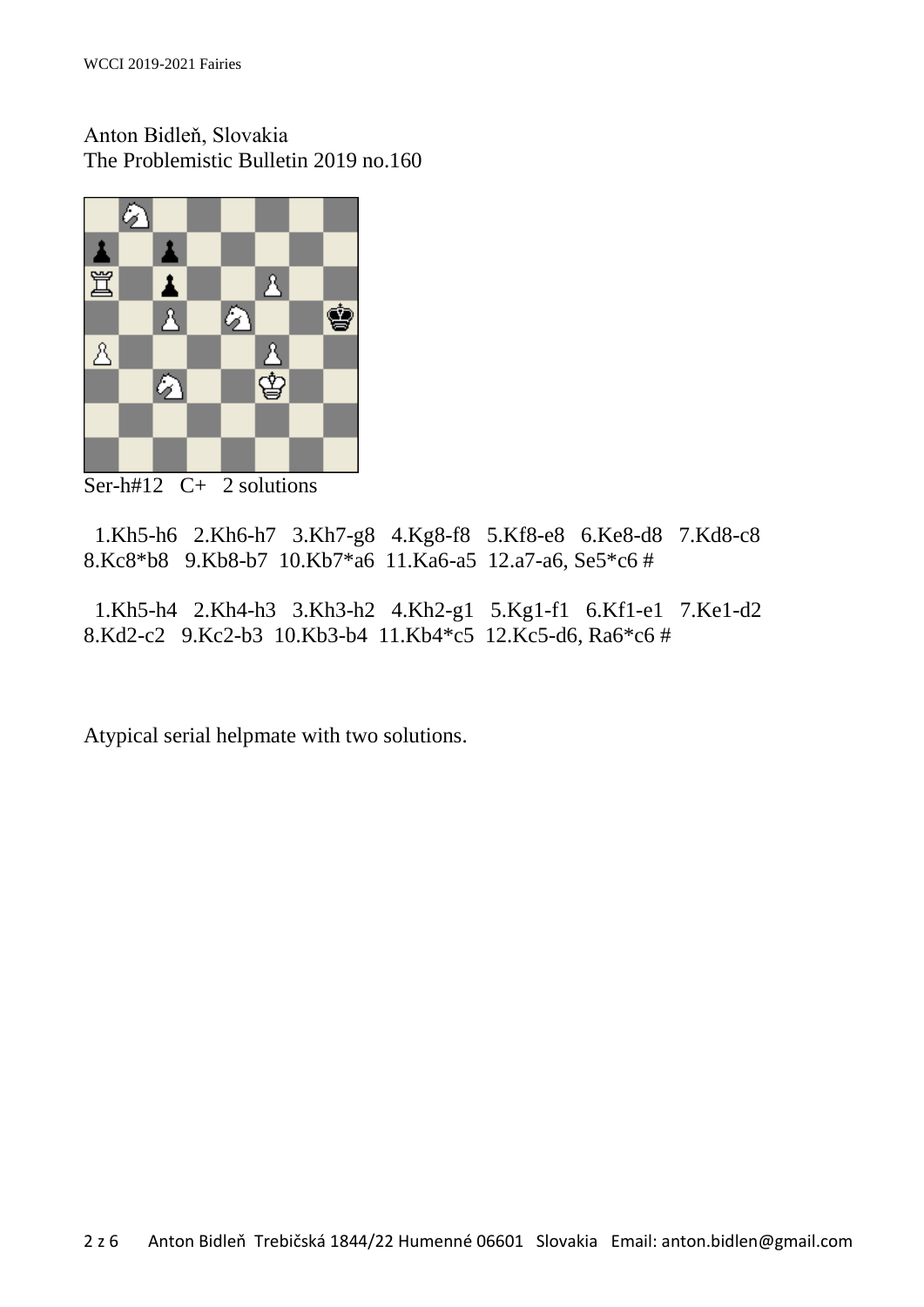Anton Bidleň, Slovakia The Problemistic Bulletin 2019 no.160



Ser-h#12 C+ 2 solutions

 1.Kh5-h6 2.Kh6-h7 3.Kh7-g8 4.Kg8-f8 5.Kf8-e8 6.Ke8-d8 7.Kd8-c8 8.Kc8\*b8 9.Kb8-b7 10.Kb7\*a6 11.Ka6-a5 12.a7-a6, Se5\*c6 #

 1.Kh5-h4 2.Kh4-h3 3.Kh3-h2 4.Kh2-g1 5.Kg1-f1 6.Kf1-e1 7.Ke1-d2 8.Kd2-c2 9.Kc2-b3 10.Kb3-b4 11.Kb4\*c5 12.Kc5-d6, Ra6\*c6 #

Atypical serial helpmate with two solutions.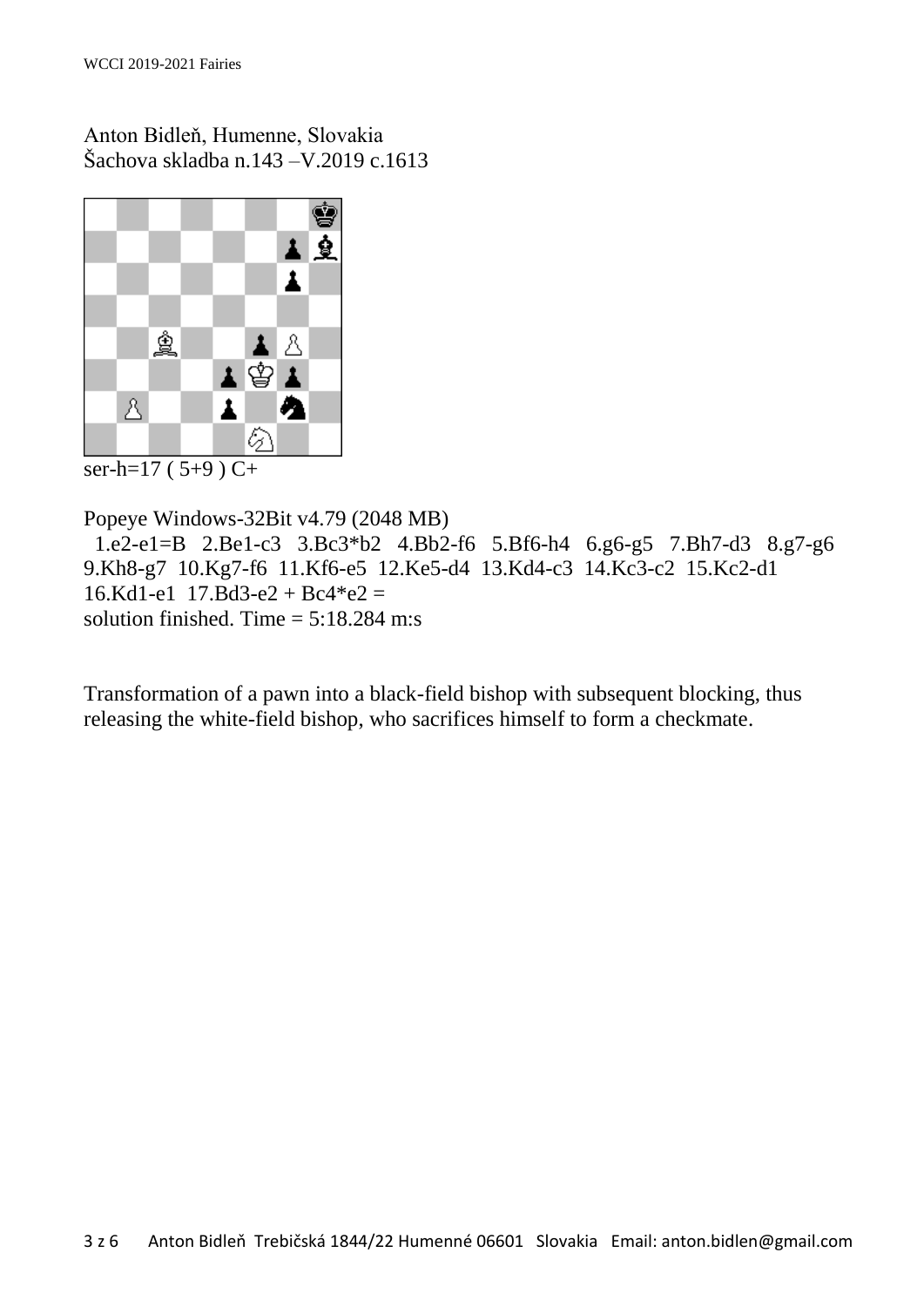Anton Bidleň, Humenne, Slovakia Šachova skladba n.143 –V.2019 c.1613



ser-h= $17(5+9)$  C+

Popeye Windows-32Bit v4.79 (2048 MB) 1.e2-e1=B 2.Be1-c3 3.Bc3\*b2 4.Bb2-f6 5.Bf6-h4 6.g6-g5 7.Bh7-d3 8.g7-g6 9.Kh8-g7 10.Kg7-f6 11.Kf6-e5 12.Ke5-d4 13.Kd4-c3 14.Kc3-c2 15.Kc2-d1  $16.$ Kd1-e1 17.Bd3-e2 + Bc4\*e2 = solution finished. Time  $= 5:18.284$  m:s

Transformation of a pawn into a black-field bishop with subsequent blocking, thus releasing the white-field bishop, who sacrifices himself to form a checkmate.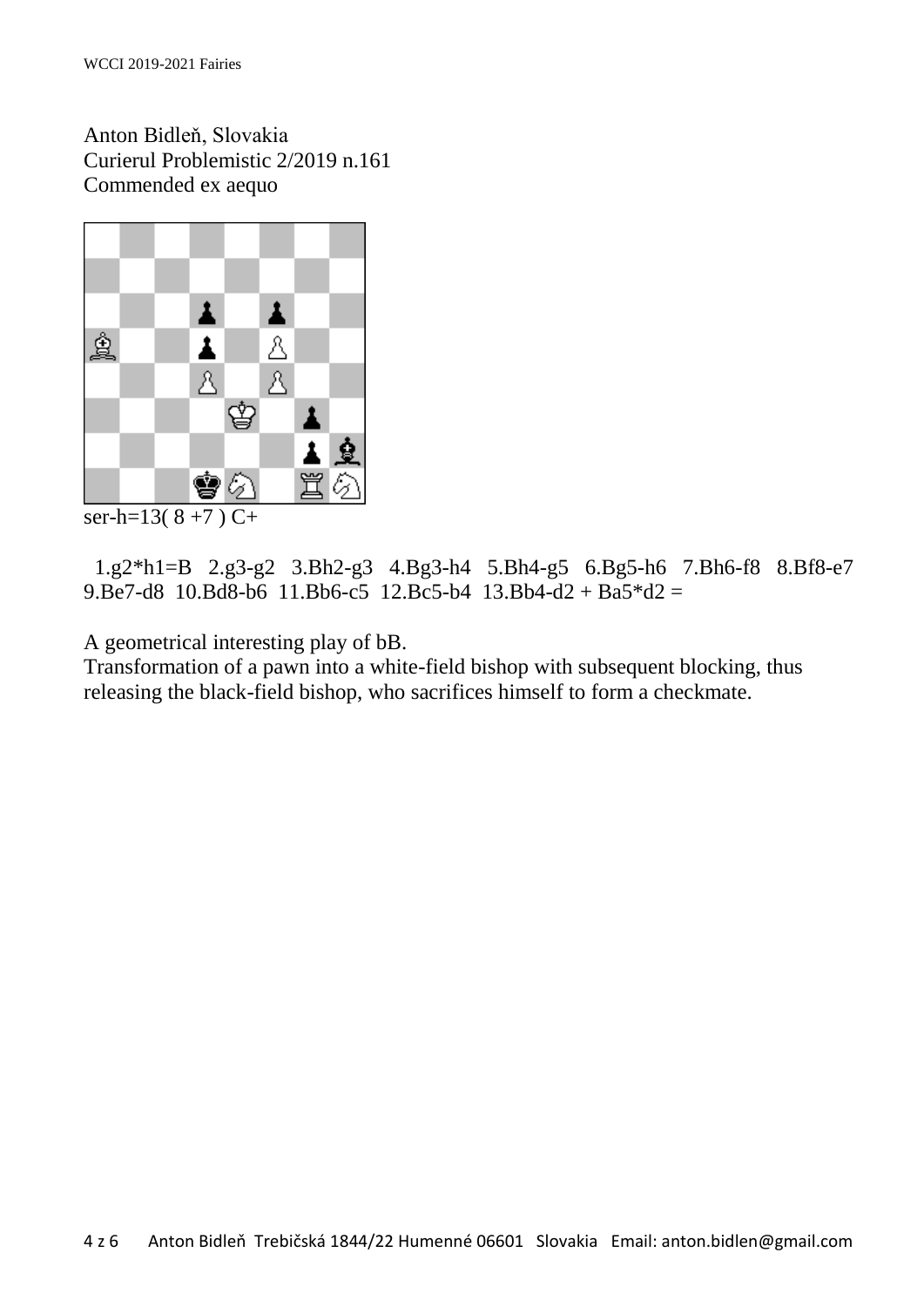Anton Bidleň, Slovakia Curierul Problemistic 2/2019 n.161 Commended ex aequo



 $\overline{\text{ser-h=13(8+7)} C+}$ 

 1.g2\*h1=B 2.g3-g2 3.Bh2-g3 4.Bg3-h4 5.Bh4-g5 6.Bg5-h6 7.Bh6-f8 8.Bf8-e7 9.Be7-d8 10.Bd8-b6 11.Bb6-c5 12.Bc5-b4 13.Bb4-d2 + Ba5\*d2 =

A geometrical interesting play of bB.

Transformation of a pawn into a white-field bishop with subsequent blocking, thus releasing the black-field bishop, who sacrifices himself to form a checkmate.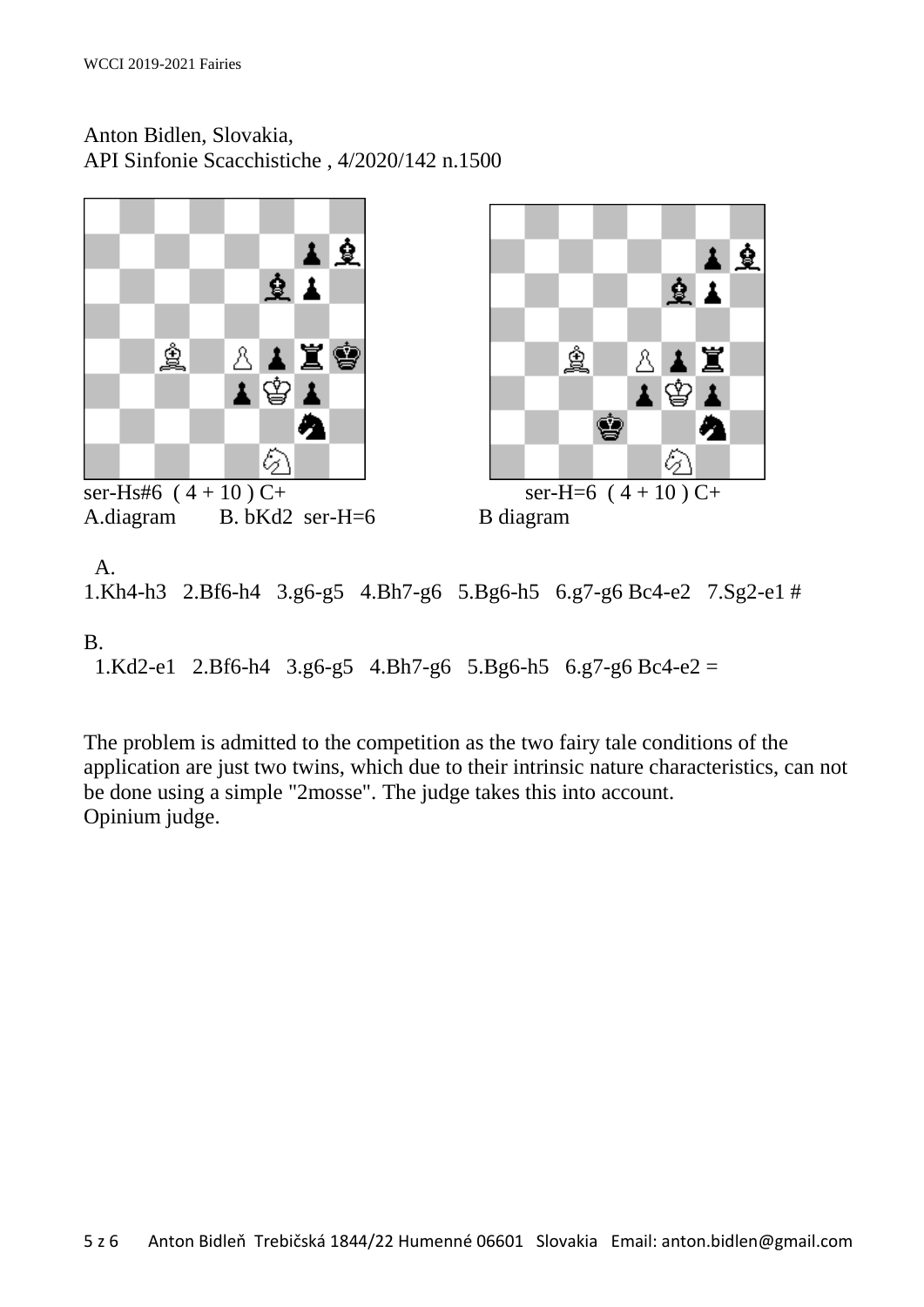Anton Bidlen, Slovakia, API Sinfonie Scacchistiche , 4/2020/142 n.1500



ser-Hs#6  $(4+10)$  C+ ser-H=6  $(4+10)$  C+ A.diagram B. bKd2 ser-H=6 B diagram





 A. 1.Kh4-h3 2.Bf6-h4 3.g6-g5 4.Bh7-g6 5.Bg6-h5 6.g7-g6 Bc4-e2 7.Sg2-e1 # B.

1.Kd2-e1 2.Bf6-h4 3.g6-g5 4.Bh7-g6 5.Bg6-h5 6.g7-g6 Bc4-e2 =

The problem is admitted to the competition as the two fairy tale conditions of the application are just two twins, which due to their intrinsic nature characteristics, can not be done using a simple "2mosse". The judge takes this into account. Opinium judge.